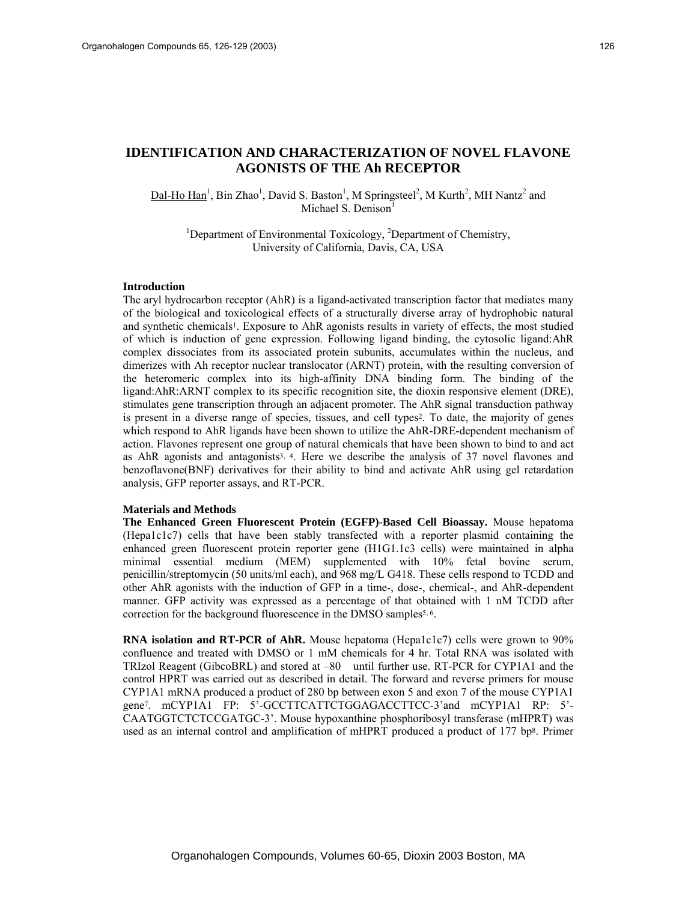# **IDENTIFICATION AND CHARACTERIZATION OF NOVEL FLAVONE AGONISTS OF THE Ah RECEPTOR**

 $\text{Dal-Ho Han}^1$ , Bin Zhao<sup>1</sup>, David S. Baston<sup>1</sup>, M Springsteel<sup>2</sup>, M Kurth<sup>2</sup>, MH Nantz<sup>2</sup> and Michael S. Denison<sup>1</sup>

<sup>1</sup>Department of Environmental Toxicology,  ${}^{2}$ Department of Chemistry, University of California, Davis, CA, USA

#### **Introduction**

The aryl hydrocarbon receptor (AhR) is a ligand-activated transcription factor that mediates many of the biological and toxicological effects of a structurally diverse array of hydrophobic natural and synthetic chemicals1. Exposure to AhR agonists results in variety of effects, the most studied of which is induction of gene expression. Following ligand binding, the cytosolic ligand:AhR complex dissociates from its associated protein subunits, accumulates within the nucleus, and dimerizes with Ah receptor nuclear translocator (ARNT) protein, with the resulting conversion of the heteromeric complex into its high-affinity DNA binding form. The binding of the ligand:AhR:ARNT complex to its specific recognition site, the dioxin responsive element (DRE), stimulates gene transcription through an adjacent promoter. The AhR signal transduction pathway is present in a diverse range of species, tissues, and cell types<sup>2</sup>. To date, the majority of genes which respond to AhR ligands have been shown to utilize the AhR-DRE-dependent mechanism of action. Flavones represent one group of natural chemicals that have been shown to bind to and act as AhR agonists and antagonists<sup>3, 4</sup>. Here we describe the analysis of 37 novel flavones and benzoflavone(BNF) derivatives for their ability to bind and activate AhR using gel retardation analysis, GFP reporter assays, and RT-PCR.

# **Materials and Methods**

**The Enhanced Green Fluorescent Protein (EGFP)-Based Cell Bioassay.** Mouse hepatoma (Hepa1c1c7) cells that have been stably transfected with a reporter plasmid containing the enhanced green fluorescent protein reporter gene (H1G1.1c3 cells) were maintained in alpha minimal essential medium (MEM) supplemented with 10% fetal bovine serum, penicillin/streptomycin (50 units/ml each), and 968 mg/L G418. These cells respond to TCDD and other AhR agonists with the induction of GFP in a time-, dose-, chemical-, and AhR-dependent manner. GFP activity was expressed as a percentage of that obtained with 1 nM TCDD after correction for the background fluorescence in the DMSO samples<sup>5, 6</sup>.

**RNA isolation and RT-PCR of AhR.** Mouse hepatoma (Hepa1c1c7) cells were grown to 90% confluence and treated with DMSO or 1 mM chemicals for 4 hr. Total RNA was isolated with TRIzol Reagent (GibcoBRL) and stored at –80 until further use. RT-PCR for CYP1A1 and the control HPRT was carried out as described in detail. The forward and reverse primers for mouse CYP1A1 mRNA produced a product of 280 bp between exon 5 and exon 7 of the mouse CYP1A1 gene7. mCYP1A1 FP: 5'-GCCTTCATTCTGGAGACCTTCC-3'and mCYP1A1 RP: 5'- CAATGGTCTCTCCGATGC-3'. Mouse hypoxanthine phosphoribosyl transferase (mHPRT) was used as an internal control and amplification of mHPRT produced a product of 177 bp8. Primer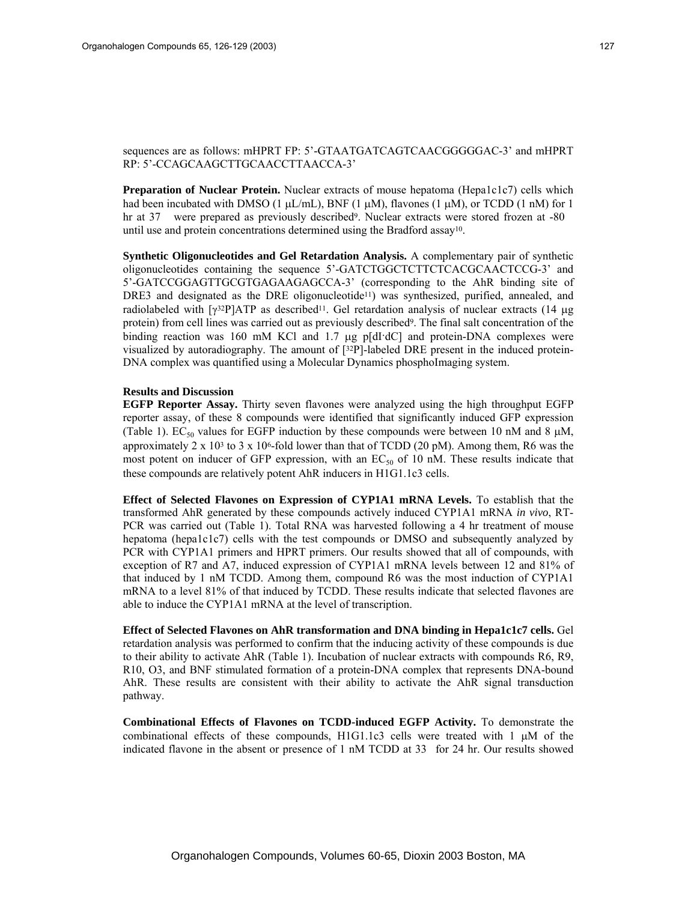# sequences are as follows: mHPRT FP: 5'-GTAATGATCAGTCAACGGGGGAC-3' and mHPRT RP: 5'-CCAGCAAGCTTGCAACCTTAACCA-3'

**Preparation of Nuclear Protein.** Nuclear extracts of mouse hepatoma (Hepa1c1c7) cells which had been incubated with DMSO (1  $\mu$ L/mL), BNF (1  $\mu$ M), flavones (1  $\mu$ M), or TCDD (1 nM) for 1 hr at 37 were prepared as previously described<sup>9</sup>. Nuclear extracts were stored frozen at -80 until use and protein concentrations determined using the Bradford assay10.

**Synthetic Oligonucleotides and Gel Retardation Analysis.** A complementary pair of synthetic oligonucleotides containing the sequence 5'-GATCTGGCTCTTCTCACGCAACTCCG-3' and 5'-GATCCGGAGTTGCGTGAGAAGAGCCA-3' (corresponding to the AhR binding site of DRE3 and designated as the DRE oligonucleotide<sup>11</sup>) was synthesized, purified, annealed, and radiolabeled with  $\lceil \gamma^{32}P \rceil$ ATP as described<sup>11</sup>. Gel retardation analysis of nuclear extracts (14 µg protein) from cell lines was carried out as previously described9. The final salt concentration of the binding reaction was 160 mM KCl and 1.7 µg p[dI·dC] and protein-DNA complexes were visualized by autoradiography. The amount of  $[32P]$ -labeled DRE present in the induced protein-DNA complex was quantified using a Molecular Dynamics phosphoImaging system.

## **Results and Discussion**

**EGFP Reporter Assay.** Thirty seven flavones were analyzed using the high throughput EGFP reporter assay, of these 8 compounds were identified that significantly induced GFP expression (Table 1).  $EC_{50}$  values for EGFP induction by these compounds were between 10 nM and 8  $\mu$ M, approximately 2 x 10<sup>3</sup> to 3 x 10<sup>6</sup>-fold lower than that of TCDD (20 pM). Among them, R6 was the most potent on inducer of GFP expression, with an  $EC_{50}$  of 10 nM. These results indicate that these compounds are relatively potent AhR inducers in H1G1.1c3 cells.

**Effect of Selected Flavones on Expression of CYP1A1 mRNA Levels.** To establish that the transformed AhR generated by these compounds actively induced CYP1A1 mRNA *in vivo*, RT-PCR was carried out (Table 1). Total RNA was harvested following a 4 hr treatment of mouse hepatoma (hepa1c1c7) cells with the test compounds or DMSO and subsequently analyzed by PCR with CYP1A1 primers and HPRT primers. Our results showed that all of compounds, with exception of R7 and A7, induced expression of CYP1A1 mRNA levels between 12 and 81% of that induced by 1 nM TCDD. Among them, compound R6 was the most induction of CYP1A1 mRNA to a level 81% of that induced by TCDD. These results indicate that selected flavones are able to induce the CYP1A1 mRNA at the level of transcription.

**Effect of Selected Flavones on AhR transformation and DNA binding in Hepa1c1c7 cells.** Gel retardation analysis was performed to confirm that the inducing activity of these compounds is due to their ability to activate AhR (Table 1). Incubation of nuclear extracts with compounds R6, R9, R10, O3, and BNF stimulated formation of a protein-DNA complex that represents DNA-bound AhR. These results are consistent with their ability to activate the AhR signal transduction pathway.

**Combinational Effects of Flavones on TCDD-induced EGFP Activity.** To demonstrate the combinational effects of these compounds,  $H1G1.1c3$  cells were treated with 1  $\mu$ M of the indicated flavone in the absent or presence of  $1 \text{ nM T CDD}$  at 33 for 24 hr. Our results showed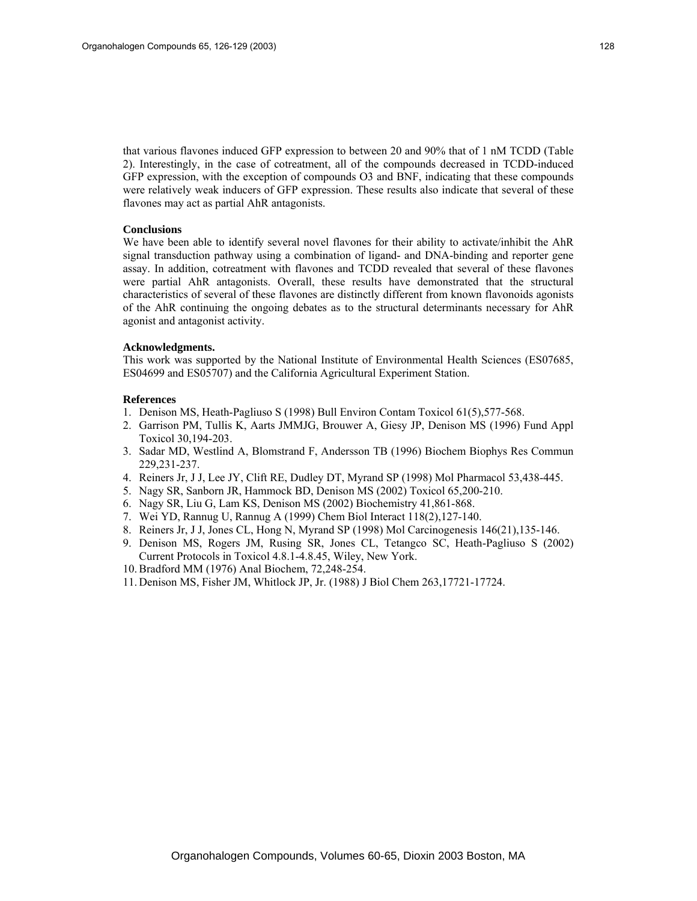that various flavones induced GFP expression to between 20 and 90% that of 1 nM TCDD (Table 2). Interestingly, in the case of cotreatment, all of the compounds decreased in TCDD-induced GFP expression, with the exception of compounds O3 and BNF, indicating that these compounds were relatively weak inducers of GFP expression. These results also indicate that several of these flavones may act as partial AhR antagonists.

## **Conclusions**

We have been able to identify several novel flavones for their ability to activate/inhibit the AhR signal transduction pathway using a combination of ligand- and DNA-binding and reporter gene assay. In addition, cotreatment with flavones and TCDD revealed that several of these flavones were partial AhR antagonists. Overall, these results have demonstrated that the structural characteristics of several of these flavones are distinctly different from known flavonoids agonists of the AhR continuing the ongoing debates as to the structural determinants necessary for AhR agonist and antagonist activity.

#### **Acknowledgments.**

This work was supported by the National Institute of Environmental Health Sciences (ES07685, ES04699 and ES05707) and the California Agricultural Experiment Station.

#### **References**

- 1. Denison MS, Heath-Pagliuso S (1998) Bull Environ Contam Toxicol 61(5),577-568.
- 2. Garrison PM, Tullis K, Aarts JMMJG, Brouwer A, Giesy JP, Denison MS (1996) Fund Appl Toxicol 30,194-203.
- 3. Sadar MD, Westlind A, Blomstrand F, Andersson TB (1996) Biochem Biophys Res Commun 229,231-237.
- 4. Reiners Jr, J J, Lee JY, Clift RE, Dudley DT, Myrand SP (1998) Mol Pharmacol 53,438-445.
- 5. Nagy SR, Sanborn JR, Hammock BD, Denison MS (2002) Toxicol 65,200-210.
- 6. Nagy SR, Liu G, Lam KS, Denison MS (2002) Biochemistry 41,861-868.
- 7. Wei YD, Rannug U, Rannug A (1999) Chem Biol Interact 118(2),127-140.
- 8. Reiners Jr, J J, Jones CL, Hong N, Myrand SP (1998) Mol Carcinogenesis 146(21),135-146.
- 9. Denison MS, Rogers JM, Rusing SR, Jones CL, Tetangco SC, Heath-Pagliuso S (2002) Current Protocols in Toxicol 4.8.1-4.8.45, Wiley, New York.
- 10. Bradford MM (1976) Anal Biochem, 72,248-254.
- 11. Denison MS, Fisher JM, Whitlock JP, Jr. (1988) J Biol Chem 263,17721-17724.